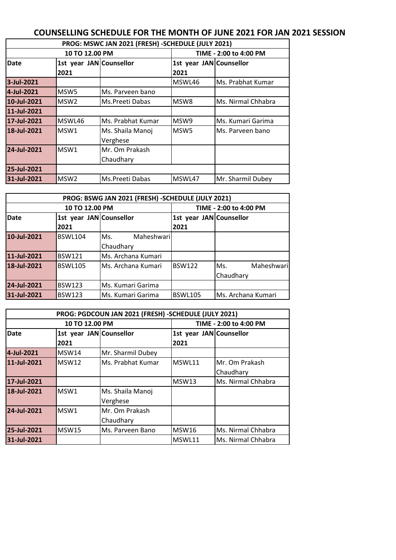## **COUNSELLING SCHEDULE FOR THE MONTH OF JUNE 2021 FOR JAN 2021 SESSION**

| PROG: MSWC JAN 2021 (FRESH) -SCHEDULE (JULY 2021) |                         |                        |                         |                    |  |  |  |
|---------------------------------------------------|-------------------------|------------------------|-------------------------|--------------------|--|--|--|
|                                                   | 10 TO 12.00 PM          | TIME - 2:00 to 4:00 PM |                         |                    |  |  |  |
| <b>Date</b>                                       | 1st year JAN Counsellor |                        | 1st year JAN Counsellor |                    |  |  |  |
|                                                   | 2021                    |                        | 2021                    |                    |  |  |  |
| 3-Jul-2021                                        |                         |                        | MSWL46                  | Ms. Prabhat Kumar  |  |  |  |
| 4-Jul-2021                                        | MSW <sub>5</sub>        | Ms. Parveen bano       |                         |                    |  |  |  |
| 10-Jul-2021                                       | MSW <sub>2</sub>        | Ms.Preeti Dabas        | MSW <sub>8</sub>        | Ms. Nirmal Chhabra |  |  |  |
| 11-Jul-2021                                       |                         |                        |                         |                    |  |  |  |
| 17-Jul-2021                                       | MSWL46                  | Ms. Prabhat Kumar      | MSW9                    | Ms. Kumari Garima  |  |  |  |
| 18-Jul-2021                                       | MSW1                    | Ms. Shaila Manoj       | MSW <sub>5</sub>        | Ms. Parveen bano   |  |  |  |
|                                                   |                         | Verghese               |                         |                    |  |  |  |
| 24-Jul-2021                                       | MSW1                    | Mr. Om Prakash         |                         |                    |  |  |  |
|                                                   |                         | Chaudhary              |                         |                    |  |  |  |
| 25-Jul-2021                                       |                         |                        |                         |                    |  |  |  |
| 31-Jul-2021                                       | MSW <sub>2</sub>        | Ms.Preeti Dabas        | MSWL47                  | Mr. Sharmil Dubey  |  |  |  |

| PROG: BSWG JAN 2021 (FRESH) -SCHEDULE (JULY 2021) |                         |                        |                         |                    |  |  |  |
|---------------------------------------------------|-------------------------|------------------------|-------------------------|--------------------|--|--|--|
|                                                   | 10 TO 12.00 PM          | TIME - 2:00 to 4:00 PM |                         |                    |  |  |  |
| <b>Date</b>                                       | 1st year JAN Counsellor |                        | 1st year JAN Counsellor |                    |  |  |  |
|                                                   | 2021                    |                        | 2021                    |                    |  |  |  |
| 10-Jul-2021                                       | <b>BSWL104</b>          | Maheshwari<br>Ms.      |                         |                    |  |  |  |
|                                                   |                         | Chaudhary              |                         |                    |  |  |  |
| 11-Jul-2021                                       | <b>BSW121</b>           | Ms. Archana Kumari     |                         |                    |  |  |  |
| 18-Jul-2021                                       | <b>BSWL105</b>          | Ms. Archana Kumari     | <b>BSW122</b>           | Maheshwari<br>Ms.  |  |  |  |
|                                                   |                         |                        |                         | Chaudhary          |  |  |  |
| 24-Jul-2021                                       | <b>BSW123</b>           | Ms. Kumari Garima      |                         |                    |  |  |  |
| 31-Jul-2021                                       | <b>BSW123</b>           | Ms. Kumari Garima      | <b>BSWL105</b>          | Ms. Archana Kumari |  |  |  |

| PROG: PGDCOUN JAN 2021 (FRESH) -SCHEDULE (JULY 2021) |                         |                        |                         |                         |  |  |  |
|------------------------------------------------------|-------------------------|------------------------|-------------------------|-------------------------|--|--|--|
|                                                      | 10 TO 12.00 PM          | TIME - 2:00 to 4:00 PM |                         |                         |  |  |  |
| <b>Date</b>                                          | 1st year JAN Counsellor |                        | 1st year JAN Counsellor |                         |  |  |  |
|                                                      | 2021                    |                        | 2021                    |                         |  |  |  |
| 4-Jul-2021                                           | MSW14                   | Mr. Sharmil Dubey      |                         |                         |  |  |  |
| 11-Jul-2021                                          | MSW12                   | Ms. Prabhat Kumar      | MSWL11                  | <b>I</b> Mr. Om Prakash |  |  |  |
|                                                      |                         |                        |                         | Chaudhary               |  |  |  |
| 17-Jul-2021                                          |                         |                        | MSW13                   | Ms. Nirmal Chhabra      |  |  |  |
| 18-Jul-2021                                          | MSW1                    | Ms. Shaila Manoj       |                         |                         |  |  |  |
|                                                      |                         | Verghese               |                         |                         |  |  |  |
| 24-Jul-2021                                          | MSW1                    | Mr. Om Prakash         |                         |                         |  |  |  |
|                                                      |                         | Chaudhary              |                         |                         |  |  |  |
| 25-Jul-2021                                          | MSW15                   | Ms. Parveen Bano       | MSW16                   | Ms. Nirmal Chhabra      |  |  |  |
| 31-Jul-2021                                          |                         |                        | MSWL11                  | Ms. Nirmal Chhabra      |  |  |  |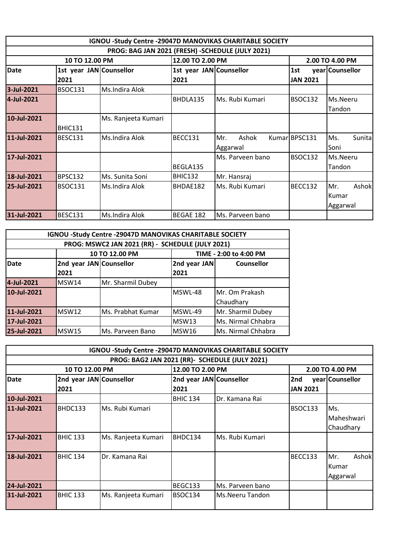| IGNOU -Study Centre -29047D MANOVIKAS CHARITABLE SOCIETY |                         |                     |                |                                    |                 |                 |  |  |  |
|----------------------------------------------------------|-------------------------|---------------------|----------------|------------------------------------|-----------------|-----------------|--|--|--|
| PROG: BAG JAN 2021 (FRESH) -SCHEDULE (JULY 2021)         |                         |                     |                |                                    |                 |                 |  |  |  |
| 12.00 TO 2.00 PM<br>10 TO 12.00 PM<br>2.00 TO 4.00 PM    |                         |                     |                |                                    |                 |                 |  |  |  |
| <b>Date</b>                                              | 1st year JAN Counsellor |                     |                | 1st year JAN Counsellor            |                 | year Counsellor |  |  |  |
|                                                          | 2021                    |                     | 2021           |                                    | <b>JAN 2021</b> |                 |  |  |  |
| 3-Jul-2021                                               | <b>BSOC131</b>          | Ms.Indira Alok      |                |                                    |                 |                 |  |  |  |
| 4-Jul-2021                                               |                         |                     | BHDLA135       | Ms. Rubi Kumari                    | <b>BSOC132</b>  | Ms.Neeru        |  |  |  |
|                                                          |                         |                     |                |                                    |                 | Tandon          |  |  |  |
| 10-Jul-2021                                              |                         | Ms. Ranjeeta Kumari |                |                                    |                 |                 |  |  |  |
|                                                          | BHIC131                 |                     |                |                                    |                 |                 |  |  |  |
| 11-Jul-2021                                              | <b>BESC131</b>          | Ms.Indira Alok      | <b>BECC131</b> | Ashok<br>Mr.                       | Kumar BPSC131   | Sunita<br>Ms.   |  |  |  |
|                                                          |                         |                     |                | Aggarwal                           |                 | Soni            |  |  |  |
| 17-Jul-2021                                              |                         |                     |                | Ms. Parveen bano<br><b>BSOC132</b> |                 | Ms.Neeru        |  |  |  |
|                                                          |                         |                     | BEGLA135       | Tandon                             |                 |                 |  |  |  |
| 18-Jul-2021                                              | <b>BPSC132</b>          | Ms. Sunita Soni     | <b>BHIC132</b> | Mr. Hansraj                        |                 |                 |  |  |  |
| 25-Jul-2021                                              | <b>BSOC131</b>          | Ms.Indira Alok      | BHDAE182       | Ms. Rubi Kumari                    | <b>BECC132</b>  | Ashok<br>Mr.    |  |  |  |
|                                                          |                         |                     |                |                                    |                 | Kumar           |  |  |  |
|                                                          |                         |                     |                |                                    |                 | Aggarwal        |  |  |  |
| 31-Jul-2021                                              | <b>BESC131</b>          | Ms.Indira Alok      | BEGAE 182      | Ms. Parveen bano                   |                 |                 |  |  |  |

| IGNOU -Study Centre -29047D MANOVIKAS CHARITABLE SOCIETY |                                          |                            |              |                        |  |  |  |
|----------------------------------------------------------|------------------------------------------|----------------------------|--------------|------------------------|--|--|--|
| PROG: MSWC2 JAN 2021 (RR) - SCHEDULE (JULY 2021)         |                                          |                            |              |                        |  |  |  |
|                                                          | 10 TO 12.00 PM<br>TIME - 2:00 to 4:00 PM |                            |              |                        |  |  |  |
| Date                                                     | 2nd year JAN Counsellor                  | 2nd year JAN<br>Counsellor |              |                        |  |  |  |
|                                                          | 2021                                     |                            | 2021         |                        |  |  |  |
| 4-Jul-2021                                               | MSW14                                    | Mr. Sharmil Dubey          |              |                        |  |  |  |
| 10-Jul-2021                                              |                                          |                            | MSWL-48      | <b>IMr. Om Prakash</b> |  |  |  |
|                                                          |                                          |                            | Chaudhary    |                        |  |  |  |
| 11-Jul-2021                                              | MSW12                                    | Ms. Prabhat Kumar          | MSWL-49      | Mr. Sharmil Dubey      |  |  |  |
| 17-Jul-2021                                              |                                          |                            | <b>MSW13</b> | Ms. Nirmal Chhabra     |  |  |  |
| 25-Jul-2021                                              | MSW15                                    | Ms. Parveen Bano           | <b>MSW16</b> | Ms. Nirmal Chhabra     |  |  |  |

| IGNOU -Study Centre -29047D MANOVIKAS CHARITABLE SOCIETY |                         |                     |                 |                                |                 |                     |  |  |  |
|----------------------------------------------------------|-------------------------|---------------------|-----------------|--------------------------------|-----------------|---------------------|--|--|--|
| PROG: BAG2 JAN 2021 (RR)- SCHEDULE (JULY 2021)           |                         |                     |                 |                                |                 |                     |  |  |  |
| 12.00 TO 2.00 PM<br>10 TO 12.00 PM<br>2.00 TO 4.00 PM    |                         |                     |                 |                                |                 |                     |  |  |  |
| <b>Date</b>                                              | 2nd year JAN Counsellor |                     |                 | 2nd year JAN Counsellor<br>2nd |                 | year Counsellor     |  |  |  |
|                                                          | 2021                    |                     | 2021            |                                | <b>JAN 2021</b> |                     |  |  |  |
| 10-Jul-2021                                              |                         |                     | <b>BHIC 134</b> | Dr. Kamana Rai                 |                 |                     |  |  |  |
| 11-Jul-2021                                              | BHDC133                 | Ms. Rubi Kumari     |                 |                                | <b>BSOC133</b>  | Ms.                 |  |  |  |
|                                                          |                         |                     |                 |                                |                 | Maheshwari          |  |  |  |
|                                                          |                         |                     |                 |                                |                 | Chaudhary           |  |  |  |
| 17-Jul-2021                                              | BHIC <sub>133</sub>     | Ms. Ranjeeta Kumari | BHDC134         | Ms. Rubi Kumari                |                 |                     |  |  |  |
|                                                          |                         |                     |                 |                                |                 |                     |  |  |  |
| 18-Jul-2021                                              | <b>BHIC 134</b>         | Dr. Kamana Rai      |                 |                                | BECC133         | Mr.<br><b>Ashok</b> |  |  |  |
|                                                          |                         |                     |                 |                                |                 | Kumar               |  |  |  |
|                                                          |                         |                     |                 |                                |                 | Aggarwal            |  |  |  |
| 24-Jul-2021                                              |                         |                     | BEGC133         | Ms. Parveen bano               |                 |                     |  |  |  |
| 31-Jul-2021                                              | BHIC <sub>133</sub>     | Ms. Ranjeeta Kumari | <b>BSOC134</b>  | Ms.Neeru Tandon                |                 |                     |  |  |  |
|                                                          |                         |                     |                 |                                |                 |                     |  |  |  |